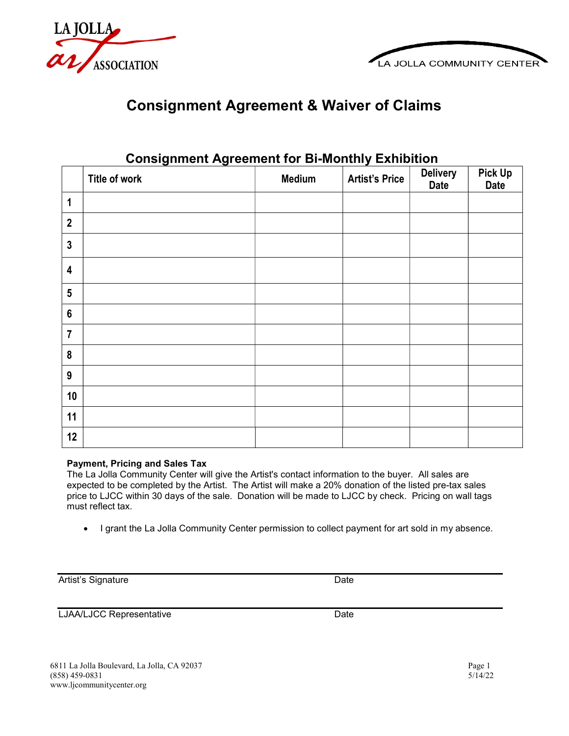



## Consignment Agreement & Waiver of Claims

|                  | Title of work | <b>Medium</b> | <b>Artist's Price</b> | <b>Delivery</b><br><b>Date</b> | <b>Pick Up</b><br><b>Date</b> |
|------------------|---------------|---------------|-----------------------|--------------------------------|-------------------------------|
| $\mathbf 1$      |               |               |                       |                                |                               |
| $\overline{2}$   |               |               |                       |                                |                               |
| $\mathbf{3}$     |               |               |                       |                                |                               |
| 4                |               |               |                       |                                |                               |
| $5\phantom{.0}$  |               |               |                       |                                |                               |
| $\boldsymbol{6}$ |               |               |                       |                                |                               |
| $\overline{7}$   |               |               |                       |                                |                               |
| $\pmb{8}$        |               |               |                       |                                |                               |
| $9\,$            |               |               |                       |                                |                               |
| 10               |               |               |                       |                                |                               |
| 11               |               |               |                       |                                |                               |
| 12               |               |               |                       |                                |                               |

## Consignment Agreement for Bi-Monthly Exhibition

## Payment, Pricing and Sales Tax

The La Jolla Community Center will give the Artist's contact information to the buyer. All sales are expected to be completed by the Artist. The Artist will make a 20% donation of the listed pre-tax sales price to LJCC within 30 days of the sale. Donation will be made to LJCC by check. Pricing on wall tags must reflect tax.

• I grant the La Jolla Community Center permission to collect payment for art sold in my absence.

Artist's Signature **Date** 

LJAA/LJCC Representative Date